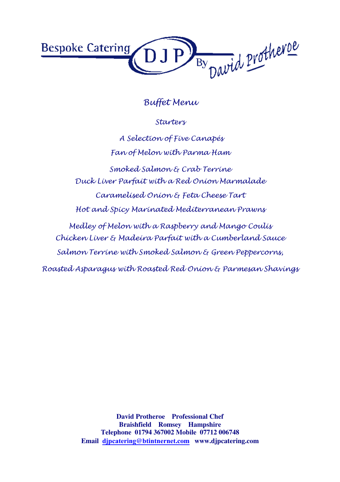

Starters

A Selection of Five Canapés Fan of Melon with Parma Ham Smoked Salmon & Crab Terrine Duck Liver Parfait with a Red Onion Marmalade Caramelised Onion & Feta Cheese Tart Hot and Spicy Marinated Mediterranean Prawns Medley of Melon with a Raspberry and Mango Coulis Chicken Liver & Madeira Parfait with a Cumberland Sauce Salmon Terrine with Smoked Salmon & Green Peppercorns, Roasted Asparagus with Roasted Red Onion & Parmesan Shavings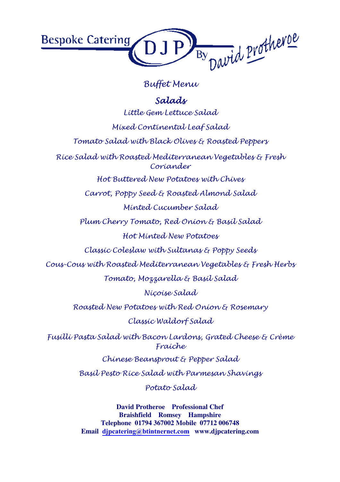

## Salads

Little Gem Lettuce Salad

Mixed Continental Leaf Salad

Tomato Salad with Black Olives & Roasted Peppers

Rice Salad with Roasted Mediterranean Vegetables & Fresh Coriander

Hot Buttered New Potatoes with Chives

Carrot, Poppy Seed & Roasted Almond Salad

Minted Cucumber Salad

Plum Cherry Tomato, Red Onion & Basil Salad Hot Minted New Potatoes

Classic Coleslaw with Sultanas & Poppy Seeds

Cous-Cous with Roasted Mediterranean Vegetables & Fresh Herbs

Tomato, Mozzarella & Basil Salad

Niçoise Salad

Roasted New Potatoes with Red Onion & Rosemary

Classic Waldorf Salad

Fusilli Pasta Salad with Bacon Lardons, Grated Cheese & Crème Fraiche

Chinese Beansprout & Pepper Salad

Basil Pesto Rice Salad with Parmesan Shavings

Potato Salad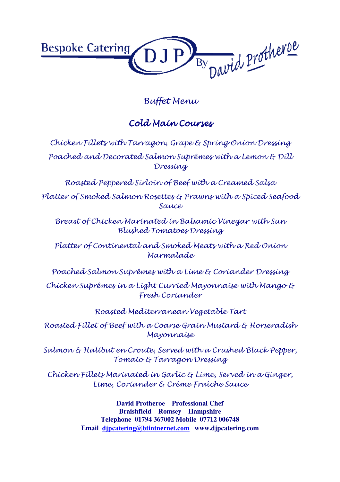

## Cold Main Courses

Chicken Fillets with Tarragon, Grape & Spring Onion Dressing Poached and Decorated Salmon Suprêmes with a Lemon & Dill Dressing

Roasted Peppered Sirloin of Beef with a Creamed Salsa

Platter of Smoked Salmon Rosettes & Prawns with a Spiced Seafood Sauce

Breast of Chicken Marinated in Balsamic Vinegar with Sun Blushed Tomatoes Dressing

Platter of Continental and Smoked Meats with a Red Onion Marmalade

Poached Salmon Suprêmes with a Lime & Coriander Dressing

Chicken Suprêmes in a Light Curried Mayonnaise with Mango & Fresh Coriander

Roasted Mediterranean Vegetable Tart

Roasted Fillet of Beef with a Coarse Grain Mustard & Horseradish Mayonnaise

Salmon & Halibut en Croute, Served with a Crushed Black Pepper, Tomato & Tarragon Dressing

Chicken Fillets Marinated in Garlic & Lime, Served in a Ginger, Lime, Coriander & Crême Fraîche Sauce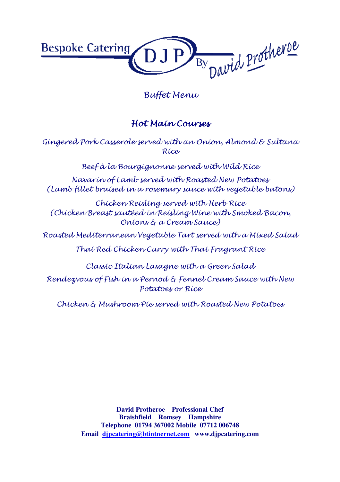

### Hot Main Courses

Gingered Pork Casserole served with an Onion, Almond & Sultana Rice

Beef à la Bourgignonne served with Wild Rice

Navarin of Lamb served with Roasted New Potatoes (Lamb fillet braised in a rosemary sauce with vegetable batons)

Chicken Reisling served with Herb Rice (Chicken Breast sautéed in Reisling Wine with Smoked Bacon, Onions & a Cream Sauce)

Roasted Mediterranean Vegetable Tart served with a Mixed Salad

Thai Red Chicken Curry with Thai Fragrant Rice

Classic Italian Lasagne with a Green Salad

Rendezvous of Fish in a Pernod & Fennel Cream Sauce with New Potatoes or Rice

Chicken & Mushroom Pie served with Roasted New Potatoes